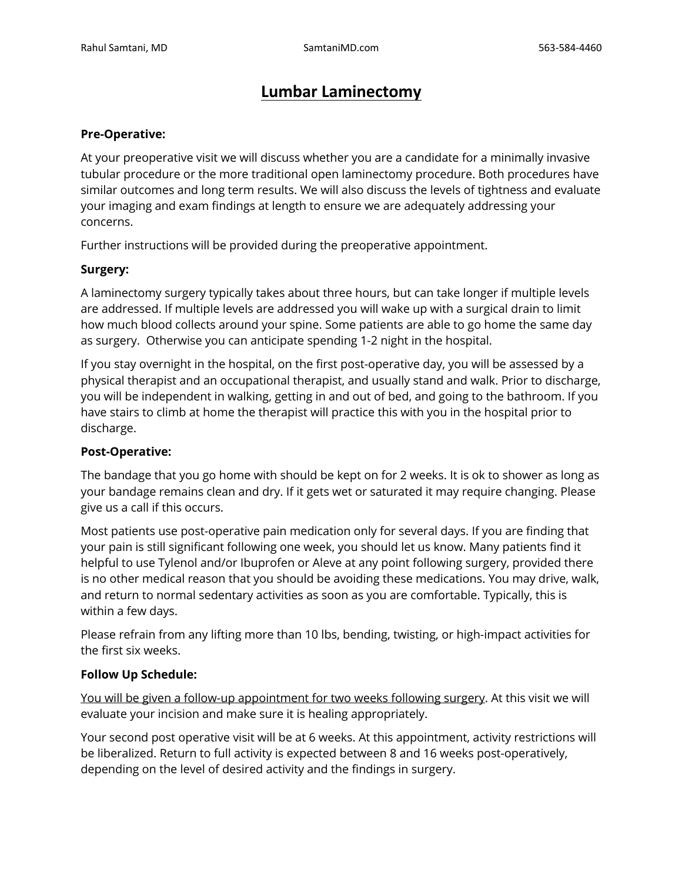# **Lumbar Laminectomy**

#### **Pre-Operative:**

At your preoperative visit we will discuss whether you are a candidate for a minimally invasive tubular procedure or the more traditional open laminectomy procedure. Both procedures have similar outcomes and long term results. We will also discuss the levels of tightness and evaluate your imaging and exam findings at length to ensure we are adequately addressing your concerns.

Further instructions will be provided during the preoperative appointment.

#### **Surgery:**

A laminectomy surgery typically takes about three hours, but can take longer if multiple levels are addressed. If multiple levels are addressed you will wake up with a surgical drain to limit how much blood collects around your spine. Some patients are able to go home the same day as surgery. Otherwise you can anticipate spending 1-2 night in the hospital.

If you stay overnight in the hospital, on the first post-operative day, you will be assessed by a physical therapist and an occupational therapist, and usually stand and walk. Prior to discharge, you will be independent in walking, getting in and out of bed, and going to the bathroom. If you have stairs to climb at home the therapist will practice this with you in the hospital prior to discharge.

#### **Post-Operative:**

The bandage that you go home with should be kept on for 2 weeks. It is ok to shower as long as your bandage remains clean and dry. If it gets wet or saturated it may require changing. Please give us a call if this occurs.

Most patients use post-operative pain medication only for several days. If you are finding that your pain is still significant following one week, you should let us know. Many patients find it helpful to use Tylenol and/or Ibuprofen or Aleve at any point following surgery, provided there is no other medical reason that you should be avoiding these medications. You may drive, walk, and return to normal sedentary activities as soon as you are comfortable. Typically, this is within a few days.

Please refrain from any lifting more than 10 lbs, bending, twisting, or high-impact activities for the first six weeks.

### **Follow Up Schedule:**

You will be given a follow-up appointment for two weeks following surgery. At this visit we will evaluate your incision and make sure it is healing appropriately.

Your second post operative visit will be at 6 weeks. At this appointment, activity restrictions will be liberalized. Return to full activity is expected between 8 and 16 weeks post-operatively, depending on the level of desired activity and the findings in surgery.